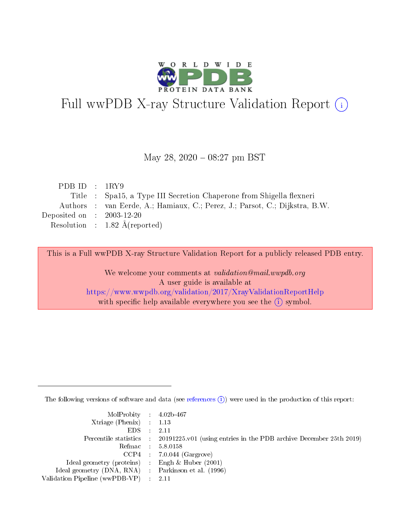

# Full wwPDB X-ray Structure Validation Report (i)

#### May 28, 2020 - 08:27 pm BST

| PDB ID : $1RY9$             |                                                                             |
|-----------------------------|-----------------------------------------------------------------------------|
|                             | Title : Spa15, a Type III Secretion Chaperone from Shigella flexneri        |
|                             | Authors : van Eerde, A.; Hamiaux, C.; Perez, J.; Parsot, C.; Dijkstra, B.W. |
| Deposited on : $2003-12-20$ |                                                                             |
|                             | Resolution : $1.82 \text{ Å}$ (reported)                                    |

This is a Full wwPDB X-ray Structure Validation Report for a publicly released PDB entry.

We welcome your comments at validation@mail.wwpdb.org A user guide is available at <https://www.wwpdb.org/validation/2017/XrayValidationReportHelp> with specific help available everywhere you see the  $(i)$  symbol.

The following versions of software and data (see [references](https://www.wwpdb.org/validation/2017/XrayValidationReportHelp#references)  $(i)$ ) were used in the production of this report:

| MolProbity : 4.02b-467                              |                                                                                                    |
|-----------------------------------------------------|----------------------------------------------------------------------------------------------------|
| Xtriage (Phenix) $: 1.13$                           |                                                                                                    |
| $EDS = 2.11$                                        |                                                                                                    |
|                                                     | Percentile statistics : $20191225 \times 01$ (using entries in the PDB archive December 25th 2019) |
|                                                     | Refmac : 5.8.0158                                                                                  |
|                                                     | $CCP4$ 7.0.044 (Gargrove)                                                                          |
| Ideal geometry (proteins) : Engh $\&$ Huber (2001)  |                                                                                                    |
| Ideal geometry (DNA, RNA) : Parkinson et al. (1996) |                                                                                                    |
| Validation Pipeline (wwPDB-VP) : 2.11               |                                                                                                    |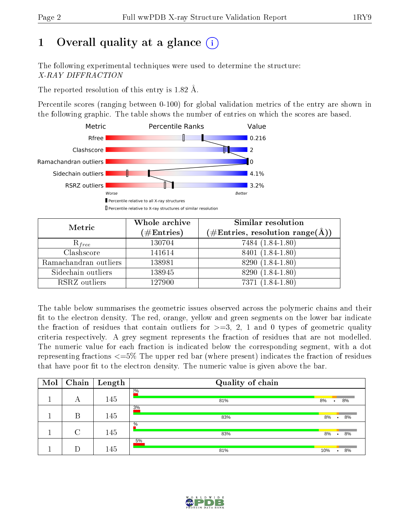# 1 [O](https://www.wwpdb.org/validation/2017/XrayValidationReportHelp#overall_quality)verall quality at a glance  $(i)$

The following experimental techniques were used to determine the structure: X-RAY DIFFRACTION

The reported resolution of this entry is 1.82 Å.

Percentile scores (ranging between 0-100) for global validation metrics of the entry are shown in the following graphic. The table shows the number of entries on which the scores are based.



| Metric                | Whole archive       | Similar resolution                                         |  |  |
|-----------------------|---------------------|------------------------------------------------------------|--|--|
|                       | (# $\rm{Entries}$ ) | $(\#\text{Entries}, \text{resolution range}(\text{\AA})\)$ |  |  |
| $R_{free}$            | 130704              | 7484 (1.84-1.80)                                           |  |  |
| Clashscore            | 141614              | 8401 (1.84-1.80)                                           |  |  |
| Ramachandran outliers | 138981              | 8290 (1.84-1.80)                                           |  |  |
| Sidechain outliers    | 138945              | 8290 (1.84-1.80)                                           |  |  |
| RSRZ outliers         | 127900              | 7371 (1.84-1.80)                                           |  |  |

The table below summarises the geometric issues observed across the polymeric chains and their fit to the electron density. The red, orange, yellow and green segments on the lower bar indicate the fraction of residues that contain outliers for  $>=3, 2, 1$  and 0 types of geometric quality criteria respectively. A grey segment represents the fraction of residues that are not modelled. The numeric value for each fraction is indicated below the corresponding segment, with a dot representing fractions  $\epsilon=5\%$  The upper red bar (where present) indicates the fraction of residues that have poor fit to the electron density. The numeric value is given above the bar.

| Mol | Chain  | $\mathbf{Length}$ | Quality of chain |     |                      |    |
|-----|--------|-------------------|------------------|-----|----------------------|----|
|     | А      | 145               | $2\%$<br>81%     | 8%  | ٠                    | 8% |
|     | В      | 145               | 3%<br>83%        | 8%  | $\bullet$            | 8% |
|     | $\cap$ | 145               | $\%$<br>83%      | 8%  | $\ddot{\phantom{1}}$ | 8% |
|     |        | 145               | 5%<br>81%        | 10% | $\bullet$            | 8% |

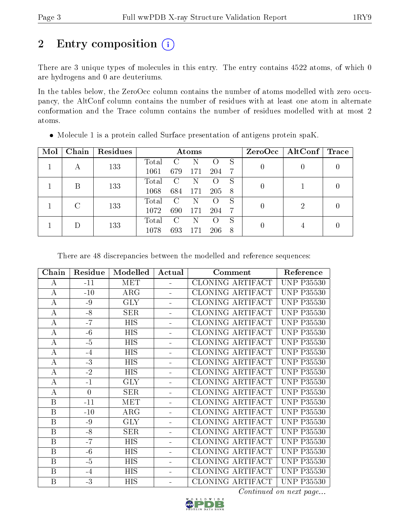# 2 Entry composition (i)

There are 3 unique types of molecules in this entry. The entry contains 4522 atoms, of which 0 are hydrogens and 0 are deuteriums.

In the tables below, the ZeroOcc column contains the number of atoms modelled with zero occupancy, the AltConf column contains the number of residues with at least one atom in alternate conformation and the Trace column contains the number of residues modelled with at most 2 atoms.

| Mol | Chain | Residues | Atoms |               |     | ZeroOcc | $\mid$ AltConf $\mid$ | $\operatorname{Trace}$ |   |  |
|-----|-------|----------|-------|---------------|-----|---------|-----------------------|------------------------|---|--|
|     |       | 133      | Total |               |     |         | S                     |                        |   |  |
|     |       |          | 1061  | 679           | 171 | 204     | 7                     |                        |   |  |
|     | В     | 133      | Total | $\mathcal{C}$ | N   |         | S                     | 0                      |   |  |
|     |       |          | 1068  | 684           | 171 | 205     | -8                    |                        |   |  |
|     |       |          | Total | C             | N   |         | S                     |                        | 2 |  |
|     | 133   | 1072     | 690   | 171           | 204 | 7       | $\theta$              |                        |   |  |
|     |       |          | Total | $\mathcal{C}$ | N   |         | S                     |                        |   |  |
|     | 133   | 1078     | 693   |               | 206 | 8       |                       |                        |   |  |

Molecule 1 is a protein called Surface presentation of antigens protein spaK.

There are 48 discrepancies between the modelled and reference sequences:

| Chain            | Residue        | Modelled         | Actual   | Comment                 | Reference         |
|------------------|----------------|------------------|----------|-------------------------|-------------------|
| $\bf{A}$         | $-11$          | MET              | $\equiv$ | CLONING ARTIFACT        | <b>UNP P35530</b> |
| $\bf{A}$         | $-10$          | $\rm{ARG}$       |          | CLONING ARTIFACT        | <b>UNP P35530</b> |
| $\bf{A}$         | $-9$           | <b>GLY</b>       |          | <b>CLONING ARTIFACT</b> | <b>UNP P35530</b> |
| $\bf{A}$         | $-8$           | <b>SER</b>       |          | CLONING ARTIFACT        | <b>UNP P35530</b> |
| $\bf{A}$         | $-7$           | <b>HIS</b>       |          | CLONING ARTIFACT        | <b>UNP P35530</b> |
| $\bf{A}$         | $-6$           | $\overline{HIS}$ |          | <b>CLONING ARTIFACT</b> | <b>UNP P35530</b> |
| $\bf{A}$         | $-5$           | <b>HIS</b>       |          | CLONING ARTIFACT        | <b>UNP P35530</b> |
| $\bf{A}$         | $-4$           | <b>HIS</b>       |          | CLONING ARTIFACT        | <b>UNP P35530</b> |
| $\bf{A}$         | $-3$           | <b>HIS</b>       |          | CLONING ARTIFACT        | <b>UNP P35530</b> |
| $\bf{A}$         | $-2$           | <b>HIS</b>       |          | CLONING ARTIFACT        | <b>UNP P35530</b> |
| $\bf{A}$         | $-1$           | <b>GLY</b>       |          | CLONING ARTIFACT        | <b>UNP P35530</b> |
| $\bf{A}$         | $\overline{0}$ | <b>SER</b>       |          | CLONING ARTIFACT        | <b>UNP P35530</b> |
| $\mathbf{B}$     | $-11$          | <b>MET</b>       | L,       | CLONING ARTIFACT        | <b>UNP P35530</b> |
| $\mathbf{B}$     | $-10$          | $\rm{ARG}$       | ÷        | CLONING ARTIFACT        | <b>UNP P35530</b> |
| $\boldsymbol{B}$ | $-9$           | <b>GLY</b>       |          | CLONING ARTIFACT        | <b>UNP P35530</b> |
| $\mathbf{B}$     | $-8$           | <b>SER</b>       |          | CLONING ARTIFACT        | <b>UNP P35530</b> |
| $\boldsymbol{B}$ | $-7$           | <b>HIS</b>       | ÷,       | CLONING ARTIFACT        | <b>UNP P35530</b> |
| $\overline{B}$   | $-6$           | $\overline{HIS}$ |          | CLONING ARTIFACT        | <b>UNP P35530</b> |
| $\boldsymbol{B}$ | $-5$           | <b>HIS</b>       | ÷,       | CLONING ARTIFACT        | <b>UNP P35530</b> |
| $\mathbf{B}$     | $-4$           | <b>HIS</b>       |          | CLONING ARTIFACT        | <b>UNP P35530</b> |
| B                | $-3$           | HIS              |          | CLONING ARTIFACT        | <b>UNP P35530</b> |

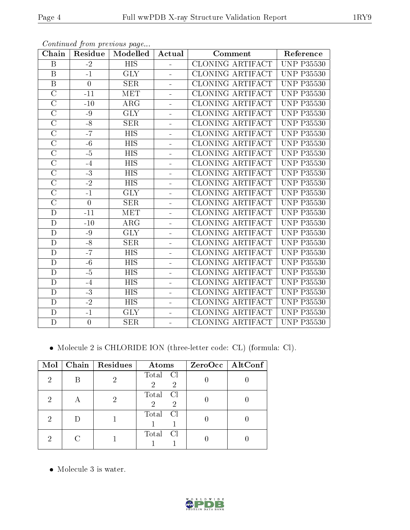| Chain              | Residue          | Modelled         | Actual         | Comment                 | Reference            |
|--------------------|------------------|------------------|----------------|-------------------------|----------------------|
| B                  | $-2$             | <b>HIS</b>       |                | CLONING ARTIFACT        | <b>UNP P35530</b>    |
| $\boldsymbol{B}$   | $-1$             | <b>GLY</b>       | $\mathbf{r}$   | <b>CLONING ARTIFACT</b> | <b>UNP P35530</b>    |
| $\overline{B}$     | $\boldsymbol{0}$ | SER              | $\sim$         | CLONING ARTIFACT        | <b>UNP P35530</b>    |
| $\mathcal{C}$      | $-11$            | <b>MET</b>       | $\blacksquare$ | <b>CLONING ARTIFACT</b> | <b>UNP P35530</b>    |
| $\overline{C}$     | $-10$            | ARG              | $\blacksquare$ | <b>CLONING ARTIFACT</b> | <b>UNP P35530</b>    |
| $\overline{C}$     | $-9$             | <b>GLY</b>       | $\blacksquare$ | <b>CLONING ARTIFACT</b> | <b>UNP P35530</b>    |
| $\overline{C}$     | $-8$             | <b>SER</b>       | ÷.             | CLONING ARTIFACT        | <b>UNP P35530</b>    |
| $\overline{C}$     | $-7$             | <b>HIS</b>       | $\blacksquare$ | <b>CLONING ARTIFACT</b> | <b>UNP P35530</b>    |
| $\overline{\rm C}$ | $-6$             | <b>HIS</b>       | $\blacksquare$ | <b>CLONING ARTIFACT</b> | <b>UNP P35530</b>    |
| $\overline{\rm C}$ | $-5$             | $\overline{HIS}$ | $\equiv$       | CLONING ARTIFACT        | <b>UNP P35530</b>    |
| $\overline{C}$     | $-4$             | <b>HIS</b>       | $\overline{a}$ | <b>CLONING ARTIFACT</b> | <b>UNP P35530</b>    |
| $\overline{\rm C}$ | $\overline{-3}$  | $\overline{HIS}$ | ÷.             | CLONING ARTIFACT        | <b>UNP P35530</b>    |
| $\mathcal{C}$      | $-2$             | <b>HIS</b>       | $\overline{a}$ | CLONING ARTIFACT        | <b>UNP P35530</b>    |
| $\overline{C}$     | $-1$             | <b>GLY</b>       | $\equiv$       | <b>CLONING ARTIFACT</b> | <b>UNP P35530</b>    |
| $\overline{\rm C}$ | $\overline{0}$   | SER              | ÷.             | <b>CLONING ARTIFACT</b> | <b>UNP P35530</b>    |
| D                  | $-11$            | <b>MET</b>       | $\mathbf{r}$   | CLONING ARTIFACT        | <b>UNP P35530</b>    |
| D                  | $-10$            | ARG              | $\blacksquare$ | <b>CLONING ARTIFACT</b> | <b>UNP</b><br>P35530 |
| D                  | $-9$             | <b>GLY</b>       |                | <b>CLONING ARTIFACT</b> | <b>UNP P35530</b>    |
| D                  | $-8$             | <b>SER</b>       | $\mathbf{r}$   | <b>CLONING ARTIFACT</b> | <b>UNP P35530</b>    |
| $\overline{D}$     | $-7$             | <b>HIS</b>       | $\equiv$       | <b>CLONING ARTIFACT</b> | <b>UNP P35530</b>    |
| D                  | $-6$             | <b>HIS</b>       | $\blacksquare$ | <b>CLONING ARTIFACT</b> | <b>UNP P35530</b>    |
| D                  | $-5$             | $\overline{HIS}$ | $\equiv$       | CLONING ARTIFACT        | <b>UNP P35530</b>    |
| $\mathbf D$        | $-4$             | <b>HIS</b>       | $\sim$         | <b>CLONING ARTIFACT</b> | <b>UNP</b><br>P35530 |
| $\overline{D}$     | $-3$             | $\overline{HIS}$ | ÷.             | <b>CLONING ARTIFACT</b> | <b>UNP P35530</b>    |
| D                  | $-2$             | <b>HIS</b>       | $\equiv$       | CLONING ARTIFACT        | <b>UNP P35530</b>    |
| D                  | $-1$             | <b>GLY</b>       | $\equiv$       | <b>CLONING ARTIFACT</b> | <b>UNP P35530</b>    |
| $\mathbf D$        | $\boldsymbol{0}$ | <b>SER</b>       |                | CLONING ARTIFACT        | <b>UNP P35530</b>    |

Continued from previous page...

Molecule 2 is CHLORIDE ION (three-letter code: CL) (formula: Cl).

| Mol | Chain   Residues | Atoms                                        | ZeroOcc   AltConf |
|-----|------------------|----------------------------------------------|-------------------|
| 2   | ച                | Total Cl<br>$\overline{2}$<br>$\overline{2}$ |                   |
| 2   | ٠,               | Total<br>Cl<br>$\overline{2}$<br>2           |                   |
| 2   |                  | Total<br>$\overline{C}$                      |                   |
| റ   |                  | Total<br>Cl                                  |                   |

• Molecule 3 is water.

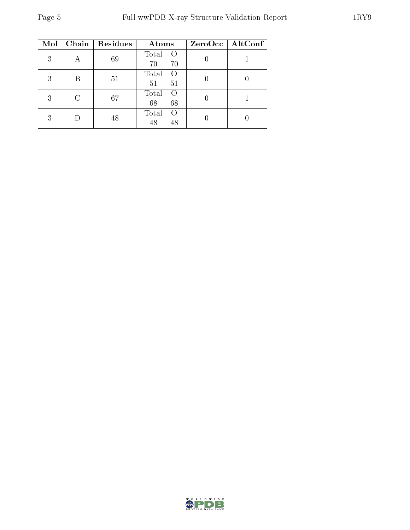| Mol | Chain | Residues | Atoms                                 | $ZeroOcc$   AltConf |
|-----|-------|----------|---------------------------------------|---------------------|
| 3   |       | 69       | Total<br>$\left( \right)$<br>70<br>70 |                     |
| 3   | B     | 51       | Total<br>$\Omega$<br>51<br>51         |                     |
| 3   | C     | 67       | Total<br>$\Omega$<br>68<br>68         |                     |
| 3   |       | 48       | Total<br>$\left( \right)$<br>48<br>48 |                     |

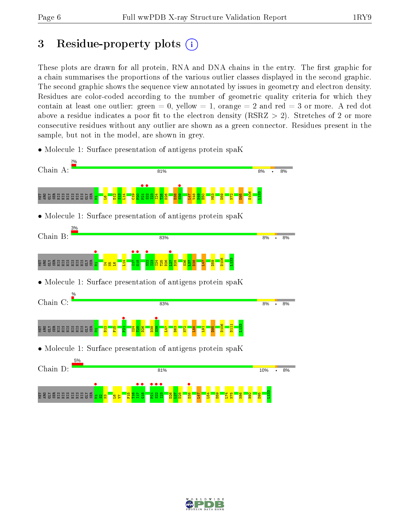# 3 Residue-property plots  $(i)$

These plots are drawn for all protein, RNA and DNA chains in the entry. The first graphic for a chain summarises the proportions of the various outlier classes displayed in the second graphic. The second graphic shows the sequence view annotated by issues in geometry and electron density. Residues are color-coded according to the number of geometric quality criteria for which they contain at least one outlier: green  $= 0$ , yellow  $= 1$ , orange  $= 2$  and red  $= 3$  or more. A red dot above a residue indicates a poor fit to the electron density (RSRZ  $> 2$ ). Stretches of 2 or more consecutive residues without any outlier are shown as a green connector. Residues present in the sample, but not in the model, are shown in grey.

- Chain A: 81% 8%  $\overline{\cdot}$ 8%  $\frac{1}{2}$  $\frac{1}{22}$  $\frac{1}{3}$ D106  $\frac{33}{2}$ e a s a s a a a a a a a s a s  $\frac{22}{2}$  $\frac{29}{12}$  $\frac{4}{11}$  $\frac{9}{2}$ P20  $\frac{23}{2}$ I24 T25 D26 D38 L47 V48  $\frac{1}{2}$  $\frac{8}{10}$  $\frac{3}{2}$ D59  $\frac{1}{2}$ D95 E.  $\mathbf{e}$ • Molecule 1: Surface presentation of antigens protein spaK Chain B: 83%  $R%$  $8%$  $\frac{1}{2}$ |<br>|<br>|<br>|  $\begin{array}{c} \bullet \\ \bullet \\ \bullet \end{array}$  $\frac{1}{22}$  $\frac{127}{120}$ D106 L133 e a s a s a a a a a a a s a s  $\frac{4}{11}$  $\frac{23}{2}$ I24 T25 D26 D28  $\frac{36}{2}$  $\overline{\mathbb{E}}$ D38 L47 D59  $\mathbf{r}$  $\mathbf{g}$  $\mathbf{S}$ • Molecule 1: Surface presentation of antigens protein spaK Chain C: 83%  $8%$  $R\%$  $\frac{1}{2}$  $\frac{1}{3}$ D106 L133 D111 e a s a s a a a a a a a s a s  $\frac{22}{2}$  $\frac{15}{11}$ I24 T25 D26 D38 L47 D63  $\frac{1}{2}$ L88  $\frac{51}{2}$ D95 E. • Molecule 1: Surface presentation of antigens protein spaK Chain D: 81% 10% 8%  $\bullet$  .  $\frac{1}{2}$  $\frac{1}{11}$  $\frac{18}{18}$  $\frac{1}{2}$  $\frac{\bullet}{22}$  $\frac{123}{1}$ **•**<br>B3<br>B3 L133ន្ទ្រី ម្លី ដូង ដូង ដូង ដូ  $\mathbb{E}$  $\frac{21}{2}$ T16 D26  $\overline{27}$ D28 L47  $\overline{54}$ D59  $L74$ N75 N86 H92 D95  $^{\circ\circ}$  $\mathbf{g}$  .  $\mathbf{S}$  $\overline{\phantom{0}}$
- Molecule 1: Surface presentation of antigens protein spaK

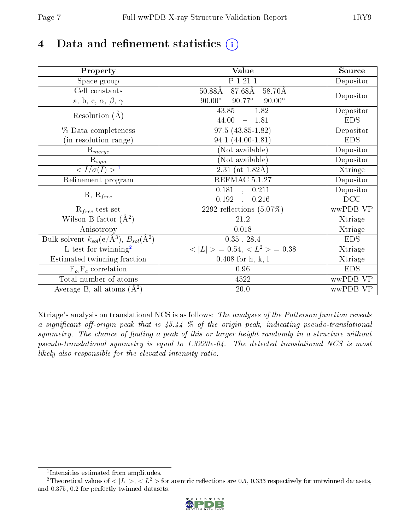# 4 Data and refinement statistics  $(i)$

| Property                                                             | <b>Value</b>                                     | Source     |
|----------------------------------------------------------------------|--------------------------------------------------|------------|
| Space group                                                          | P 1 21 1                                         | Depositor  |
| Cell constants                                                       | $87.68\text{\AA}$<br>$50.88\text{\AA}$<br>58.70Å |            |
| a, b, c, $\alpha$ , $\beta$ , $\gamma$                               | $90.00^\circ$<br>$90.77^\circ$<br>$90.00^\circ$  | Depositor  |
| Resolution $(A)$                                                     | 43.85<br>$-1.82$                                 | Depositor  |
|                                                                      | 44.00<br>1.81<br>$\equiv$                        | <b>EDS</b> |
| % Data completeness                                                  | $97.5(43.85-1.82)$                               | Depositor  |
| (in resolution range)                                                | 94.1 (44.00-1.81)                                | <b>EDS</b> |
| $R_{merge}$                                                          | (Not available)                                  | Depositor  |
| $\mathrm{R}_{sym}$                                                   | (Not available)                                  | Depositor  |
| $\langle I/\sigma(I) \rangle^{-1}$                                   | $2.31$ (at 1.82Å)                                | Xtriage    |
| Refinement program                                                   | REFMAC 5.1.27                                    | Depositor  |
| $R, R_{free}$                                                        | $\overline{0.181}$ ,<br>0.211                    | Depositor  |
|                                                                      | 0.192<br>0.216<br>$\ddot{\phantom{a}}$           | DCC        |
| $R_{free}$ test set                                                  | 2292 reflections $(5.07\%)$                      | wwPDB-VP   |
| Wilson B-factor $(A^2)$                                              | 21.2                                             | Xtriage    |
| Anisotropy                                                           | 0.018                                            | Xtriage    |
| Bulk solvent $k_{sol}(e/\mathring{A}^3)$ , $B_{sol}(\mathring{A}^2)$ | $0.35$ , $28.4$                                  | <b>EDS</b> |
| L-test for twinning <sup>2</sup>                                     | $>$ = 0.54, < $L^2$ > = 0.38<br>< L              | Xtriage    |
| Estimated twinning fraction                                          | $0.408$ for $h,-k,-l$                            | Xtriage    |
| $F_o, F_c$ correlation                                               | 0.96                                             | <b>EDS</b> |
| Total number of atoms                                                | 4522                                             | wwPDB-VP   |
| Average B, all atoms $(A^2)$                                         | $20.0\,$                                         | wwPDB-VP   |

Xtriage's analysis on translational NCS is as follows: The analyses of the Patterson function reveals a significant off-origin peak that is  $45.44\%$  of the origin peak, indicating pseudo-translational symmetry. The chance of finding a peak of this or larger height randomly in a structure without pseudo-translational symmetry is equal to 1.3220e-04. The detected translational NCS is most likely also responsible for the elevated intensity ratio.

<sup>&</sup>lt;sup>2</sup>Theoretical values of  $\langle |L| \rangle$ ,  $\langle L^2 \rangle$  for acentric reflections are 0.5, 0.333 respectively for untwinned datasets, and 0.375, 0.2 for perfectly twinned datasets.



<span id="page-6-1"></span><span id="page-6-0"></span><sup>1</sup> Intensities estimated from amplitudes.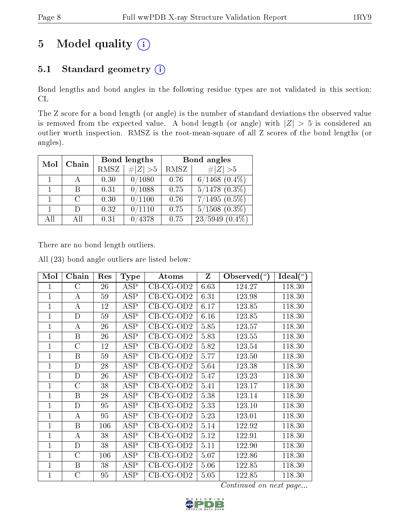# 5 Model quality  $(i)$

# 5.1 Standard geometry  $(i)$

Bond lengths and bond angles in the following residue types are not validated in this section: CL

The Z score for a bond length (or angle) is the number of standard deviations the observed value is removed from the expected value. A bond length (or angle) with  $|Z| > 5$  is considered an outlier worth inspection. RMSZ is the root-mean-square of all Z scores of the bond lengths (or angles).

| Mol | Chain  |             | Bond lengths | Bond angles |                    |  |
|-----|--------|-------------|--------------|-------------|--------------------|--|
|     |        | <b>RMSZ</b> | # $ Z  > 5$  | RMSZ        | # $ Z >5$          |  |
|     |        | 0.30        | 0/1080       | 0.76        | $6/1468$ $(0.4\%)$ |  |
|     | В      | 0.31        | 0/1088       | 0.75        | $5/1478$ $(0.3\%)$ |  |
|     | $\cap$ | 0.30        | 0/1100       | 0.76        | $7/1495(0.5\%)$    |  |
| 1.  | $\Box$ | 0.32        | 0/1110       | 0.75        | $5/1508$ $(0.3\%)$ |  |
| All | All    | 0.31        | 4378         | 0.75        | $23/5949(0.4\%)$   |  |

There are no bond length outliers.

All (23) bond angle outliers are listed below:

| Mol            | Chain            | Res | <b>Type</b> | Atoms       | $\mathbf{Z}$ | Observed $(°)$ | Ideal $(°)$ |
|----------------|------------------|-----|-------------|-------------|--------------|----------------|-------------|
| 1              | $\rm C$          | 26  | ASP         | $CB-CG-OD2$ | 6.63         | 124.27         | 118.30      |
| $\overline{1}$ | $\boldsymbol{A}$ | 59  | ASP         | $CB-CG-OD2$ | 6.31         | 123.98         | 118.30      |
| $\mathbf 1$    | $\boldsymbol{A}$ | 12  | $\rm{ASP}$  | $CB-CG-OD2$ | 6.17         | 123.85         | 118.30      |
| 1              | D                | 59  | <b>ASP</b>  | $CB-CG-OD2$ | 6.16         | 123.85         | 118.30      |
| 1              | А                | 26  | <b>ASP</b>  | $CB-CG-OD2$ | 5.85         | 123.57         | 118.30      |
| 1              | $\boldsymbol{B}$ | 26  | ASP         | $CB-CG-OD2$ | 5.83         | 123.55         | 118.30      |
| $\mathbf 1$    | $\rm C$          | 12  | ASP         | $CB-CG-OD2$ | 5.82         | 123.54         | 118.30      |
| $\overline{1}$ | B                | 59  | ASP         | $CB-CG-OD2$ | 5.77         | 123.50         | 118.30      |
| 1              | D                | 28  | <b>ASP</b>  | $CB-CG-OD2$ | 5.64         | 123.38         | 118.30      |
| 1              | D                | 26  | ASP         | $CB-CG-OD2$ | 5.47         | 123.23         | 118.30      |
| 1              | $\rm C$          | 38  | ASP         | $CB-CG-OD2$ | 5.41         | 123.17         | 118.30      |
| 1              | B                | 28  | ASP         | $CB-CG-OD2$ | 5.38         | 123.14         | 118.30      |
| 1              | D                | 95  | ASP         | $CB-CG-OD2$ | 5.33         | 123.10         | 118.30      |
| 1              | A                | 95  | ASP         | $CB-CG-OD2$ | 5.23         | 123.01         | 118.30      |
| $\overline{1}$ | $\boldsymbol{B}$ | 106 | <b>ASP</b>  | $CB-CG-OD2$ | 5.14         | 122.92         | 118.30      |
| 1              | A                | 38  | ASP         | $CB-CG-OD2$ | 5.12         | 122.91         | 118.30      |
| 1              | D                | 38  | <b>ASP</b>  | $CB-CG-OD2$ | 5.11         | 122.90         | 118.30      |
| 1              | $\rm C$          | 106 | ASP         | $CB-CG-OD2$ | 5.07         | 122.86         | 118.30      |
| 1              | B                | 38  | ASP         | $CB-CG-OD2$ | 5.06         | 122.85         | 118.30      |
| 1              | $\overline{C}$   | 95  | $\rm{ASP}$  | $CB-CG-OD2$ | 5.05         | 122.85         | 118.30      |

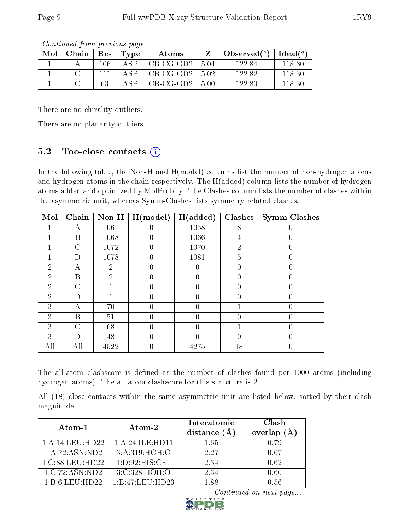| Mol | Chain   Res |     | Type        | Atoms                        |        | Observed $(°)$ | $\mid$ Ideal( $^o$ ) |
|-----|-------------|-----|-------------|------------------------------|--------|----------------|----------------------|
|     |             | 106 | $\Delta$ SP | $CB-CG-OD2$                  | - 5.04 | 122.84         | 118.30               |
|     |             |     | $\Delta$ SP | $\mid$ CB-CG-OD2 $\mid$ 5.02 |        | 122.82         | 118.30               |
|     |             | 63  | $\Delta$ SP | CB-CG-OD2                    | -5.00  | 122.80         | 118.30               |

Continued from previous page...

There are no chirality outliers.

There are no planarity outliers.

### 5.2 Too-close contacts  $(i)$

In the following table, the Non-H and H(model) columns list the number of non-hydrogen atoms and hydrogen atoms in the chain respectively. The H(added) column lists the number of hydrogen atoms added and optimized by MolProbity. The Clashes column lists the number of clashes within the asymmetric unit, whereas Symm-Clashes lists symmetry related clashes.

| Mol            | Chain          | $Non-H$        | H (model) | H(added) | <b>Clashes</b>   | <b>Symm-Clashes</b> |
|----------------|----------------|----------------|-----------|----------|------------------|---------------------|
|                | А              | 1061           |           | 1058     | 8                |                     |
|                | Β              | 1068           | 0         | 1066     | 4                |                     |
|                | $\overline{C}$ | 1072           | 0         | 1070     | $\overline{2}$   | 0                   |
|                | D              | 1078           |           | 1081     | 5                | 0                   |
| $\overline{2}$ | А              | $\overline{2}$ |           |          | 0                |                     |
| $\overline{2}$ | B              | $\mathcal{D}$  | 0         |          | 0                | $\theta$            |
| 2              | $\overline{C}$ |                |           |          | 0                | 0                   |
| $\overline{2}$ | D              |                |           |          | 0                |                     |
| 3              | А              | 70             | 0         |          |                  | 0                   |
| 3              | В              | 51             | 0         |          | $\left( \right)$ | 0                   |
| 3              | C              | 68             |           |          |                  |                     |
| 3              | D              | 48             | 0         |          | 0                | 0                   |
| All            | All            | 4522           |           | 4275     | 18               |                     |

The all-atom clashscore is defined as the number of clashes found per 1000 atoms (including hydrogen atoms). The all-atom clashscore for this structure is 2.

All (18) close contacts within the same asymmetric unit are listed below, sorted by their clash magnitude.

| Atom-1                                       | Atom-2             | Interatomic<br>distance $(\AA)$ | Clash<br>overlap<br>$(\AA)$ |
|----------------------------------------------|--------------------|---------------------------------|-----------------------------|
| 1:A:14:LEU:HD22                              | 1: A:24: ILE: HDI1 | 1.65                            | 0.79                        |
| 1:A:72:ASN:ND2                               | 3: A:319:HOH:O     | 2.27                            | 0.67                        |
| $1:\mathrm{C}:88:\mathrm{LEU}:\mathrm{HD}22$ | 1: D:92: HIS: CE1  | 2.34                            | 0.62                        |
| 1:C:72:ASN:ND2                               | 3:C:328:HOH:O      | 2.34                            | 0.60                        |
| 1: B: 6: LEU: HD22                           | 1:B:47:LEU:HD23    | 1.88                            | 0.56                        |

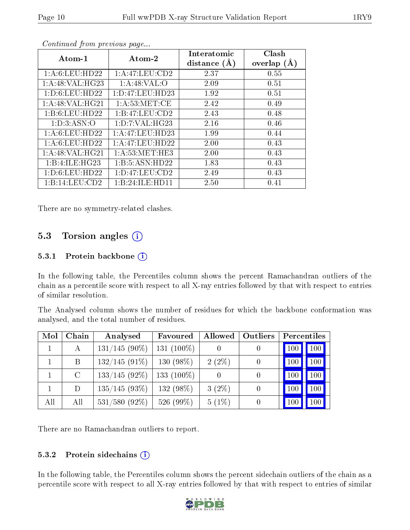| o o noonowowe grond provided page |                     |                |               |  |  |  |
|-----------------------------------|---------------------|----------------|---------------|--|--|--|
| $Atom-1$                          | Atom-2              | Interatomic    | Clash         |  |  |  |
|                                   |                     | distance $(A)$ | overlap $(A)$ |  |  |  |
| 1: A:6: LEU: HD22                 | 1:A:47:LEU:CD2      | 2.37           | 0.55          |  |  |  |
| 1: A:48: VAL:HG23                 | 1: A:48: VAL:O      | 2.09           | 0.51          |  |  |  |
| 1: D:6: LEU: HD22                 | 1: D: 47: LEU: HD23 | 1.92           | 0.51          |  |  |  |
| 1: A:48: VAL:HG21                 | 1: A:53:MET:CE      | 2.42           | 0.49          |  |  |  |
| 1:B:6:LEU:HD22                    | 1:B:47:LEU:CD2      | 2.43           | 0.48          |  |  |  |
| 1: D:3: ASN:O                     | 1: D: 7: VAL:HG23   | 2.16           | 0.46          |  |  |  |
| 1: A:6: LEU: HD22                 | 1: A:47:LEU:HD23    | 1.99           | 0.44          |  |  |  |
| 1: A:6: LEU: HD22                 | 1:A:47:LEU:HD22     | 2.00           | 0.43          |  |  |  |
| 1: A:48: VAL:HG21                 | 1: A:53:MET:HE3     | 2.00           | 0.43          |  |  |  |
| 1:B:4:ILE:HG23                    | 1:B:5:ASN:HD22      | 1.83           | 0.43          |  |  |  |
| 1: D:6: LEU: HD22                 | 1: D: 47: LEU: CD2  | 2.49           | 0.43          |  |  |  |
| 1:B:14:LEU:CD2                    | 1:B:24:ILE:HD11     | 2.50           | 0.41          |  |  |  |

Continued from previous page...

There are no symmetry-related clashes.

### 5.3 Torsion angles  $(i)$

#### 5.3.1 Protein backbone  $(i)$

In the following table, the Percentiles column shows the percent Ramachandran outliers of the chain as a percentile score with respect to all X-ray entries followed by that with respect to entries of similar resolution.

The Analysed column shows the number of residues for which the backbone conformation was analysed, and the total number of residues.

| Mol | Chain   | Analysed         | Favoured      | Allowed  | Outliers | Percentiles |
|-----|---------|------------------|---------------|----------|----------|-------------|
|     | А       | $131/145(90\%)$  | 131 $(100\%)$ |          |          | 100         |
|     | Β       | $132/145(91\%)$  | 130 $(98\%)$  | $2(2\%)$ | $\theta$ | 100         |
|     | $\rm C$ | $133/145(92\%)$  | 133 $(100\%)$ |          |          | 100<br>100  |
|     | D       | $135/145(93\%)$  | 132 (98%)     | $3(2\%)$ |          | 100         |
| All | All     | $531/580$ (92\%) | 526 (99%)     | $5(1\%)$ |          |             |

There are no Ramachandran outliers to report.

#### 5.3.2 Protein sidechains  $(i)$

In the following table, the Percentiles column shows the percent sidechain outliers of the chain as a percentile score with respect to all X-ray entries followed by that with respect to entries of similar

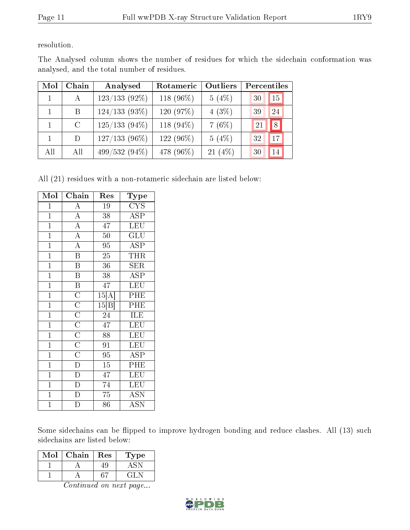resolution.

| Mol | Chain         | Analysed        | Rotameric    | Outliers  | Percentiles |
|-----|---------------|-----------------|--------------|-----------|-------------|
|     | A             | $123/133(92\%)$ | 118 $(96\%)$ | 5(4%)     | 30<br>15    |
|     | B.            | $124/133(93\%)$ | 120 $(97%)$  | $4(3\%)$  | 24<br>39    |
|     | $\mathcal{C}$ | $125/133(94\%)$ | 118 $(94\%)$ | 7(6%)     | 8<br>21     |
|     | D.            | $127/133(96\%)$ | 122 $(96\%)$ | 5(4%)     | 32<br>17    |
| All | All           | $499/532(94\%)$ | 478 (96\%)   | $21(4\%)$ | 14<br>30    |

The Analysed column shows the number of residues for which the sidechain conformation was analysed, and the total number of residues.

All (21) residues with a non-rotameric sidechain are listed below:

| Mol            | Chain                                                                                                                                                                           | Res                | Type                      |
|----------------|---------------------------------------------------------------------------------------------------------------------------------------------------------------------------------|--------------------|---------------------------|
| $\mathbf{1}$   | $\overline{A}$                                                                                                                                                                  | $19\,$             | $\overline{\text{CYS}}$   |
| $\overline{1}$ | $\overline{A}$                                                                                                                                                                  | 38                 | $\overline{\text{ASP}}$   |
| $\overline{1}$ | $\overline{A}$                                                                                                                                                                  | $\overline{47}$    | $\overline{\text{LEU}}$   |
| $\overline{1}$ | $\frac{\overline{A}}{\overline{A}}$                                                                                                                                             | $\overline{50}$    | $\overline{\mathrm{GLU}}$ |
| $\mathbf{1}$   |                                                                                                                                                                                 | 95                 | <b>ASP</b>                |
| $\overline{1}$ | $\overline{\mathbf{B}}$                                                                                                                                                         | $\overline{25}$    | $\overline{\text{THR}}$   |
| $\overline{1}$ | $\overline{\mathbf{B}}$                                                                                                                                                         | $\overline{36}$    | <b>SER</b>                |
| $\mathbf{1}$   | $\overline{\mathrm{B}}$                                                                                                                                                         | 38                 | <b>ASP</b>                |
| $\overline{1}$ |                                                                                                                                                                                 | 47                 | LEU                       |
| $\overline{1}$ |                                                                                                                                                                                 | $15 \overline{A} $ | PHE                       |
| $\overline{1}$ | $\overline{\text{B}}$ $\overline{\text{C}}$ $\overline{\text{C}}$ $\overline{\text{C}}$ $\overline{\text{C}}$ $\overline{\text{C}}$ $\overline{\text{C}}$ $\overline{\text{C}}$ | 15[B]              | $\overline{\mathrm{PHE}}$ |
| $\overline{1}$ |                                                                                                                                                                                 | $\overline{24}$    | ILE                       |
| $\overline{1}$ |                                                                                                                                                                                 | $\overline{47}$    | LEU                       |
| $\overline{1}$ |                                                                                                                                                                                 | 88                 | LEU                       |
| $\overline{1}$ |                                                                                                                                                                                 | $\overline{91}$    | LEU                       |
| $\overline{1}$ |                                                                                                                                                                                 | $\overline{95}$    | $\overline{\text{ASP}}$   |
| $\overline{1}$ | $\frac{\overline{C}}{\overline{D}}$                                                                                                                                             | 15                 | PHE                       |
| $\overline{1}$ |                                                                                                                                                                                 | 47                 | LEU                       |
| $\overline{1}$ | $\overline{D}$                                                                                                                                                                  | $\overline{74}$    | LEU                       |
| $\overline{1}$ | $\overline{\mathrm{D}}$                                                                                                                                                         | $\overline{75}$    | <b>ASN</b>                |
| $\mathbf 1$    | D                                                                                                                                                                               | 86                 | <b>ASN</b>                |

Some sidechains can be flipped to improve hydrogen bonding and reduce clashes. All (13) such sidechains are listed below:

| Mol | Chain | Res | уре |
|-----|-------|-----|-----|
|     |       |     |     |
|     |       |     |     |

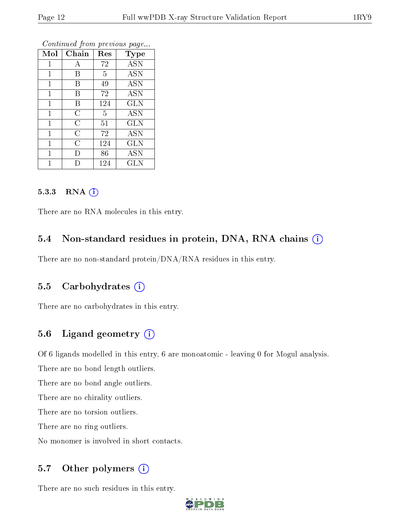| Mol          | Chain          | Res | <b>Type</b> |
|--------------|----------------|-----|-------------|
| 1            | А              | 72  | <b>ASN</b>  |
| 1            | В              | 5   | <b>ASN</b>  |
| 1            | В              | 49  | <b>ASN</b>  |
| $\mathbf{1}$ | В              | 72  | <b>ASN</b>  |
| $\mathbf 1$  | В              | 124 | <b>GLN</b>  |
| $\mathbf{1}$ | $\overline{C}$ | 5   | <b>ASN</b>  |
| $\mathbf{1}$ | C              | 51  | <b>GLN</b>  |
| $\mathbf{1}$ | C              | 72  | <b>ASN</b>  |
| $\mathbf{1}$ | С              | 124 | GLN         |
| $\mathbf 1$  | Ð              | 86  | <b>ASN</b>  |
|              |                | 124 | <b>GLN</b>  |

Continued from previous page...

#### 5.3.3 RNA (i)

There are no RNA molecules in this entry.

#### 5.4 Non-standard residues in protein, DNA, RNA chains (i)

There are no non-standard protein/DNA/RNA residues in this entry.

#### 5.5 Carbohydrates (i)

There are no carbohydrates in this entry.

### 5.6 Ligand geometry  $(i)$

Of 6 ligands modelled in this entry, 6 are monoatomic - leaving 0 for Mogul analysis.

There are no bond length outliers.

There are no bond angle outliers.

There are no chirality outliers.

There are no torsion outliers.

There are no ring outliers.

No monomer is involved in short contacts.

### 5.7 [O](https://www.wwpdb.org/validation/2017/XrayValidationReportHelp#nonstandard_residues_and_ligands)ther polymers  $(i)$

There are no such residues in this entry.

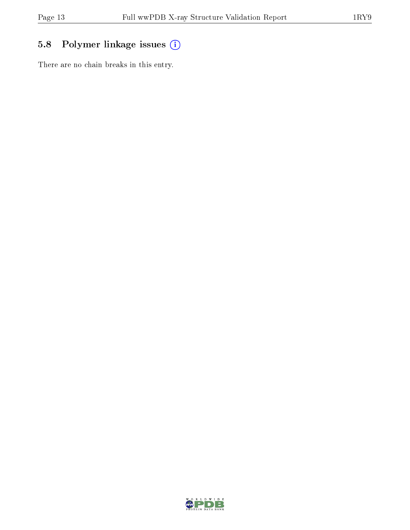# 5.8 Polymer linkage issues (i)

There are no chain breaks in this entry.

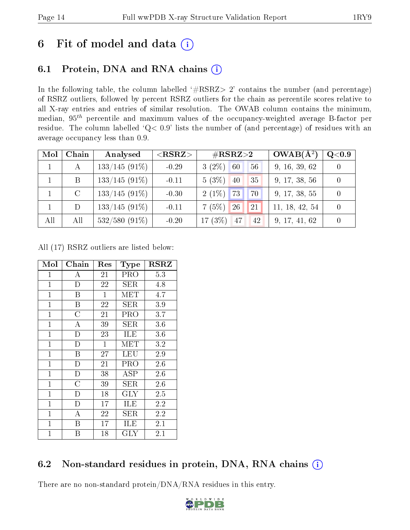# 6 Fit of model and data  $(i)$

# 6.1 Protein, DNA and RNA chains  $(i)$

In the following table, the column labelled  $#RSRZ> 2'$  contains the number (and percentage) of RSRZ outliers, followed by percent RSRZ outliers for the chain as percentile scores relative to all X-ray entries and entries of similar resolution. The OWAB column contains the minimum, median,  $95<sup>th</sup>$  percentile and maximum values of the occupancy-weighted average B-factor per residue. The column labelled ' $Q< 0.9$ ' lists the number of (and percentage) of residues with an average occupancy less than 0.9.

| Mol          | Chain         | Analysed        | ${ <\hspace{-1.5pt}{\mathrm{RSRZ}} \hspace{-1.5pt}>}$ | $\rm \#RSRZ{>}2$      | $OWAB(A^2)$    | Q <sub>0.9</sub> |
|--------------|---------------|-----------------|-------------------------------------------------------|-----------------------|----------------|------------------|
| $\mathbf{1}$ | А             | $133/145(91\%)$ | $-0.29$                                               | $3(2\%)$ 60<br>56     | 9, 16, 39, 62  |                  |
|              | B             | $133/145(91\%)$ | $-0.11$                                               | $5(3\%)$<br>40<br>35  | 9, 17, 38, 56  |                  |
|              | $\mathcal{C}$ | $133/145(91\%)$ | $-0.30$                                               | 173<br>$2(1\%)$<br>70 | 9, 17, 38, 55  |                  |
|              | D             | $133/145(91\%)$ | $-0.11$                                               | 26 <br>7(5%)<br>21    | 11, 18, 42, 54 |                  |
| All          | All           | $532/580(91\%)$ | $-0.20$                                               | $17(3\%)$<br>47<br>42 | 9, 17, 41, 62  |                  |

All (17) RSRZ outliers are listed below:

| Mol          | Chain                   | Res          | Type       | $_{\rm RSRZ}$ |
|--------------|-------------------------|--------------|------------|---------------|
| $\mathbf{1}$ | A                       | 21           | PRO        | 5.3           |
| $\mathbf{1}$ | D                       | 22           | SER        | 4.8           |
| $\mathbf{1}$ | $\overline{\mathrm{B}}$ | $\mathbf{1}$ | MET        | 4.7           |
| $\mathbf{1}$ | B                       | 22           | SER        | 3.9           |
| $\mathbf{1}$ | $\overline{\rm C}$      | 21           | PRO        | 3.7           |
| $\mathbf 1$  | А                       | 39           | SER        | 3.6           |
| $\mathbf 1$  | D                       | 23           | ILE        | 3.6           |
| $\mathbf{1}$ | D                       | $\mathbf{1}$ | MET        | $3.2\,$       |
| $\mathbf{1}$ | B                       | 27           | LEU        | 2.9           |
| $\mathbf{1}$ | $\mathbf D$             | 21           | PRO        | 2.6           |
| $\mathbf{1}$ | D                       | 38           | $\rm{ASP}$ | 2.6           |
| $\mathbf{1}$ | $\overline{\rm C}$      | 39           | SER.       | 2.6           |
| $\mathbf{1}$ | D                       | 18           | <b>GLY</b> | 2.5           |
| $\mathbf 1$  | D                       | 17           | ILE        | 2.2           |
| $\mathbf{1}$ | A                       | 22           | <b>SER</b> | 2.2           |
| $\mathbf{1}$ | B                       | 17           | ILE        | 2.1           |
| $\mathbf 1$  | Β                       | 18           | <b>GLY</b> | 2.1           |

### 6.2 Non-standard residues in protein, DNA, RNA chains  $(i)$

There are no non-standard protein/DNA/RNA residues in this entry.